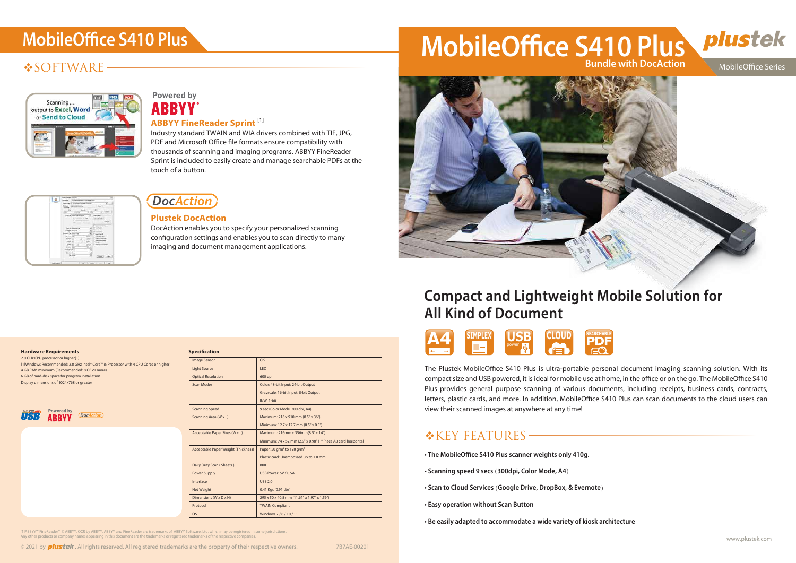## **❖SOFTWARE-**



## **Powered by ABBYY**

The Plustek MobileOffice S410 Plus is ultra-portable personal document imaging scanning solution. With its compact size and USB powered, it is ideal for mobile use at home, in the office or on the go. The MobileOffice S410 Plus provides general purpose scanning of various documents, including receipts, business cards, contracts, letters, plastic cards, and more. In addition, MobileOffice S410 Plus can scan documents to the cloud users can view their scanned images at anywhere at any time!

## $K$ KEY FEATURES -

- The MobileOffice S410 Plus scanner weights only 410g.
- Scanning speed 9 secs (300dpi, Color Mode, A4)
- · Scan to Cloud Services (Google Drive, DropBox, & Evernote)
- Easy operation without Scan Buttor
- Be easily adapted to accommodate a wide variety of kiosk architecture

2.0 GHz CPU processor or higher[1] [1]Windows Recommended: 2.8 GHz Intel® Core™ i5 Processor with 4 CPU Cores or higher 4 GB RAM minimum (Recommended: 8 GB or more) 6 GB of hard-disk space for program installation Display dimensions of 1024x768 or greate



#### **Specification**



#### **Hardware Requirements**

# MobileOffice S410 Plus<br>
MobileOffice S410 Plus **Bundle with DocAction**



## **Compact and Lightweight Mobile Solution for All Kind of Document**

| <b>CIS</b>                                                    |
|---------------------------------------------------------------|
| <b>LED</b>                                                    |
| 600 dpi                                                       |
| Color: 48-bit Input; 24-bit Output                            |
| Grayscale: 16-bit Input; 8-bit Output                         |
| $B/W: 1-bit$                                                  |
| 9 sec (Color Mode, 300 dpi, A4)                               |
| Maximum: 216 x 910 mm (8.5" x 36")                            |
| Minimum: 12.7 x 12.7 mm (0.5" x 0.5")                         |
| Maximum: 216mm x 356mm(8.5" x 14")                            |
| Minimum: 74 x 52 mm (2.9" x 0.98") * Place A8 card horizontal |
| Paper: 50 g/m <sup>2</sup> to 120 g/m <sup>2</sup>            |
| Plastic card: Unembossed up to 1.0 mm                         |
| 800                                                           |
| USB Power: 5V / 0.5A                                          |
| <b>USB 2.0</b>                                                |
| 0.41 Kgs (0.91 Lbs)                                           |
| 295 x 50 x 40.5 mm (11.61" x 1.97" x 1.59")                   |
| <b>TWAIN Compliant</b>                                        |
| Windows 7/8/10/11                                             |
|                                                               |

[1]ABBYY™ FineReader™© ABBYY. OCR by ABBYY. ABBYY and FineReader are trademarks of ABBYY Software, Ltd. which may be registered in some jurisdictions.<br>Any other products or company names appearing in this document are the



**MobileOffice Series** 



### **ABBYY FineReader Sprint** [1]

Industry standard TWAIN and WIA drivers combined with TIF, JPG, PDF and Microsoft Office file formats ensure compatibility with thousands of scanning and imaging programs. ABBYY FineReader Sprint is included to easily create and manage searchable PDFs at the touch of a button.



### **DocAction**

### **Plustek DocAction**

DocAction enables you to specify your personalized scanning configuration settings and enables you to scan directly to many imaging and document management applications.